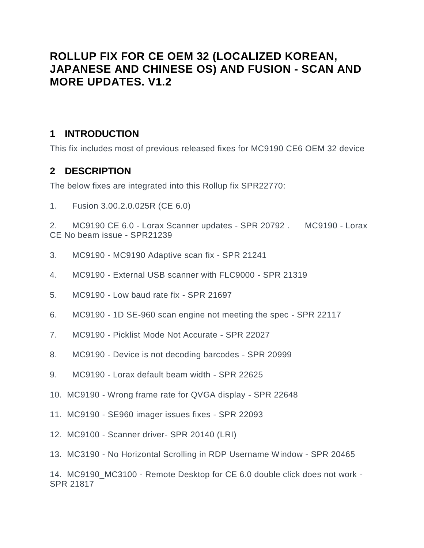# **ROLLUP FIX FOR CE OEM 32 (LOCALIZED KOREAN, JAPANESE AND CHINESE OS) AND FUSION - SCAN AND MORE UPDATES. V1.2**

#### **1 INTRODUCTION**

**This fix includes most of previous released fixes for MC9190 CE6 OEM 32 device**

#### **2 DESCRIPTION**

**The below fixes are integrated into this Rollup fix SPR22770:**

**1. Fusion 3.00.2.0.025R (CE 6.0)**

**2. MC9190 CE 6.0 - Lorax Scanner updates - SPR 20792 . MC9190 - Lorax CE No beam issue - SPR21239**

- **3. MC9190 - MC9190 Adaptive scan fix - SPR 21241**
- **4. MC9190 - External USB scanner with FLC9000 - SPR 21319**
- **5. MC9190 - Low baud rate fix - SPR 21697**
- **6. MC9190 - 1D SE-960 scan engine not meeting the spec - SPR 22117**
- **7. MC9190 - Picklist Mode Not Accurate - SPR 22027**
- **8. MC9190 - Device is not decoding barcodes - SPR 20999**
- **9. MC9190 - Lorax default beam width - SPR 22625**
- **10. MC9190 - Wrong frame rate for QVGA display - SPR 22648**
- **11. MC9190 - SE960 imager issues fixes - SPR 22093**
- **12. MC9100 - Scanner driver- SPR 20140 (LRI)**
- **13. MC3190 - No Horizontal Scrolling in RDP Username Window - SPR 20465**

**14. MC9190\_MC3100 - Remote Desktop for CE 6.0 double click does not work - SPR 21817**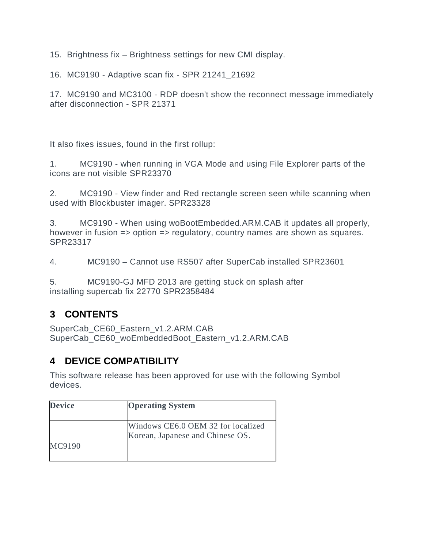**15. Brightness fix – Brightness settings for new CMI display.**

**16. MC9190 - Adaptive scan fix - SPR 21241\_21692**

**17. MC9190 and MC3100 - RDP doesn't show the reconnect message immediately after disconnection - SPR 21371**

**It also fixes issues, found in the first rollup:**

**1. MC9190 - when running in VGA Mode and using File Explorer parts of the icons are not visible SPR23370**

**2. MC9190 - View finder and Red rectangle screen seen while scanning when used with Blockbuster imager. SPR23328**

**3. MC9190 - When using woBootEmbedded.ARM.CAB it updates all properly, however in fusion => option => regulatory, country names are shown as squares. SPR23317**

**4. MC9190 – Cannot use RS507 after SuperCab installed SPR23601**

**5. MC9190-GJ MFD 2013 are getting stuck on splash after installing supercab fix 22770 SPR2358484**

# **3 CONTENTS**

**SuperCab\_CE60\_Eastern\_v1.2.ARM.CAB SuperCab\_CE60\_woEmbeddedBoot\_Eastern\_v1.2.ARM.CAB**

# **4 DEVICE COMPATIBILITY**

**This software release has been approved for use with the following Symbol devices.**

| <b>Device</b> | <b>Operating System</b>            |
|---------------|------------------------------------|
|               |                                    |
|               | Windows CE6.0 OEM 32 for localized |
|               | Korean, Japanese and Chinese OS.   |
| MC9190        |                                    |
|               |                                    |